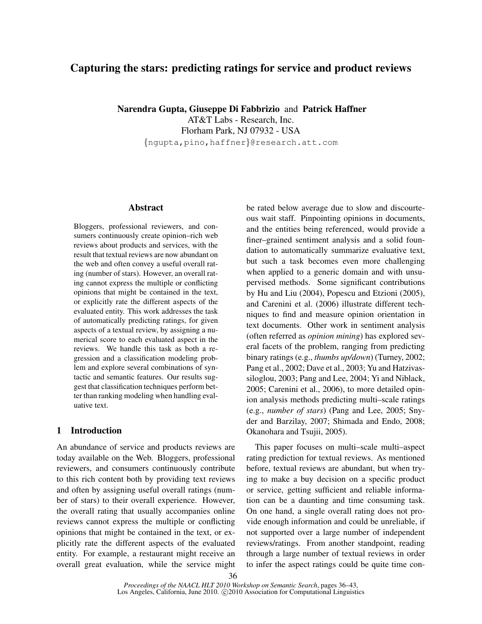# Capturing the stars: predicting ratings for service and product reviews

Narendra Gupta, Giuseppe Di Fabbrizio and Patrick Haffner

AT&T Labs - Research, Inc. Florham Park, NJ 07932 - USA {ngupta,pino,haffner}@research.att.com

## Abstract

Bloggers, professional reviewers, and consumers continuously create opinion–rich web reviews about products and services, with the result that textual reviews are now abundant on the web and often convey a useful overall rating (number of stars). However, an overall rating cannot express the multiple or conflicting opinions that might be contained in the text, or explicitly rate the different aspects of the evaluated entity. This work addresses the task of automatically predicting ratings, for given aspects of a textual review, by assigning a numerical score to each evaluated aspect in the reviews. We handle this task as both a regression and a classification modeling problem and explore several combinations of syntactic and semantic features. Our results suggest that classification techniques perform better than ranking modeling when handling evaluative text.

## 1 Introduction

An abundance of service and products reviews are today available on the Web. Bloggers, professional reviewers, and consumers continuously contribute to this rich content both by providing text reviews and often by assigning useful overall ratings (number of stars) to their overall experience. However, the overall rating that usually accompanies online reviews cannot express the multiple or conflicting opinions that might be contained in the text, or explicitly rate the different aspects of the evaluated entity. For example, a restaurant might receive an overall great evaluation, while the service might be rated below average due to slow and discourteous wait staff. Pinpointing opinions in documents, and the entities being referenced, would provide a finer–grained sentiment analysis and a solid foundation to automatically summarize evaluative text, but such a task becomes even more challenging when applied to a generic domain and with unsupervised methods. Some significant contributions by Hu and Liu (2004), Popescu and Etzioni (2005), and Carenini et al. (2006) illustrate different techniques to find and measure opinion orientation in text documents. Other work in sentiment analysis (often referred as *opinion mining*) has explored several facets of the problem, ranging from predicting binary ratings (e.g., *thumbs up/down*) (Turney, 2002; Pang et al., 2002; Dave et al., 2003; Yu and Hatzivassiloglou, 2003; Pang and Lee, 2004; Yi and Niblack, 2005; Carenini et al., 2006), to more detailed opinion analysis methods predicting multi–scale ratings (e.g., *number of stars*) (Pang and Lee, 2005; Snyder and Barzilay, 2007; Shimada and Endo, 2008; Okanohara and Tsujii, 2005).

This paper focuses on multi–scale multi–aspect rating prediction for textual reviews. As mentioned before, textual reviews are abundant, but when trying to make a buy decision on a specific product or service, getting sufficient and reliable information can be a daunting and time consuming task. On one hand, a single overall rating does not provide enough information and could be unreliable, if not supported over a large number of independent reviews/ratings. From another standpoint, reading through a large number of textual reviews in order to infer the aspect ratings could be quite time con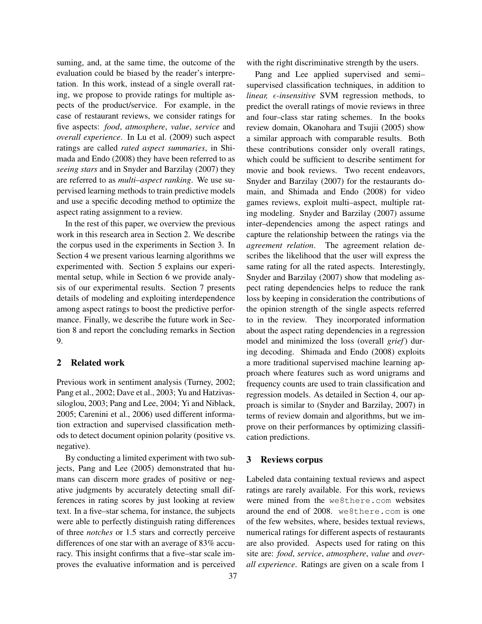suming, and, at the same time, the outcome of the evaluation could be biased by the reader's interpretation. In this work, instead of a single overall rating, we propose to provide ratings for multiple aspects of the product/service. For example, in the case of restaurant reviews, we consider ratings for five aspects: *food*, *atmosphere*, *value*, *service* and *overall experience*. In Lu et al. (2009) such aspect ratings are called *rated aspect summaries*, in Shimada and Endo (2008) they have been referred to as *seeing stars* and in Snyder and Barzilay (2007) they are referred to as *multi–aspect ranking*. We use supervised learning methods to train predictive models and use a specific decoding method to optimize the aspect rating assignment to a review.

In the rest of this paper, we overview the previous work in this research area in Section 2. We describe the corpus used in the experiments in Section 3. In Section 4 we present various learning algorithms we experimented with. Section 5 explains our experimental setup, while in Section 6 we provide analysis of our experimental results. Section 7 presents details of modeling and exploiting interdependence among aspect ratings to boost the predictive performance. Finally, we describe the future work in Section 8 and report the concluding remarks in Section 9.

### 2 Related work

Previous work in sentiment analysis (Turney, 2002; Pang et al., 2002; Dave et al., 2003; Yu and Hatzivassiloglou, 2003; Pang and Lee, 2004; Yi and Niblack, 2005; Carenini et al., 2006) used different information extraction and supervised classification methods to detect document opinion polarity (positive vs. negative).

By conducting a limited experiment with two subjects, Pang and Lee (2005) demonstrated that humans can discern more grades of positive or negative judgments by accurately detecting small differences in rating scores by just looking at review text. In a five–star schema, for instance, the subjects were able to perfectly distinguish rating differences of three *notches* or 1.5 stars and correctly perceive differences of one star with an average of 83% accuracy. This insight confirms that a five–star scale improves the evaluative information and is perceived with the right discriminative strength by the users.

Pang and Lee applied supervised and semi– supervised classification techniques, in addition to *linear, e-insensitive* SVM regression methods, to predict the overall ratings of movie reviews in three and four–class star rating schemes. In the books review domain, Okanohara and Tsujii (2005) show a similar approach with comparable results. Both these contributions consider only overall ratings, which could be sufficient to describe sentiment for movie and book reviews. Two recent endeavors, Snyder and Barzilay (2007) for the restaurants domain, and Shimada and Endo (2008) for video games reviews, exploit multi–aspect, multiple rating modeling. Snyder and Barzilay (2007) assume inter–dependencies among the aspect ratings and capture the relationship between the ratings via the *agreement relation*. The agreement relation describes the likelihood that the user will express the same rating for all the rated aspects. Interestingly, Snyder and Barzilay (2007) show that modeling aspect rating dependencies helps to reduce the rank loss by keeping in consideration the contributions of the opinion strength of the single aspects referred to in the review. They incorporated information about the aspect rating dependencies in a regression model and minimized the loss (overall *grief*) during decoding. Shimada and Endo (2008) exploits a more traditional supervised machine learning approach where features such as word unigrams and frequency counts are used to train classification and regression models. As detailed in Section 4, our approach is similar to (Snyder and Barzilay, 2007) in terms of review domain and algorithms, but we improve on their performances by optimizing classification predictions.

## 3 Reviews corpus

Labeled data containing textual reviews and aspect ratings are rarely available. For this work, reviews were mined from the we8there.com websites around the end of 2008. we8there.com is one of the few websites, where, besides textual reviews, numerical ratings for different aspects of restaurants are also provided. Aspects used for rating on this site are: *food*, *service*, *atmosphere*, *value* and *overall experience*. Ratings are given on a scale from 1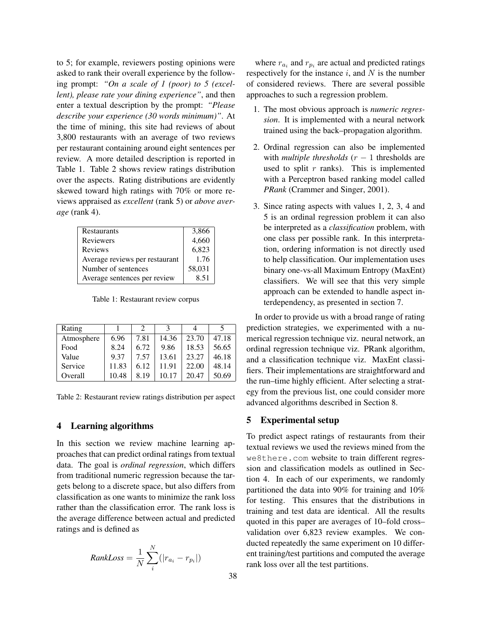to 5; for example, reviewers posting opinions were asked to rank their overall experience by the following prompt: *"On a scale of 1 (poor) to 5 (excellent), please rate your dining experience"*, and then enter a textual description by the prompt: *"Please describe your experience (30 words minimum)"*. At the time of mining, this site had reviews of about 3,800 restaurants with an average of two reviews per restaurant containing around eight sentences per review. A more detailed description is reported in Table 1. Table 2 shows review ratings distribution over the aspects. Rating distributions are evidently skewed toward high ratings with 70% or more reviews appraised as *excellent* (rank 5) or *above average* (rank 4).

| <b>Restaurants</b>             | 3,866  |
|--------------------------------|--------|
| <b>Reviewers</b>               | 4,660  |
| <b>Reviews</b>                 | 6,823  |
| Average reviews per restaurant | 1.76   |
| Number of sentences            | 58,031 |
| Average sentences per review   | 8.51   |

Table 1: Restaurant review corpus

| Rating     |       | 2    |       |       |       |
|------------|-------|------|-------|-------|-------|
| Atmosphere | 6.96  | 7.81 | 14.36 | 23.70 | 47.18 |
| Food       | 8.24  | 6.72 | 9.86  | 18.53 | 56.65 |
| Value      | 9.37  | 7.57 | 13.61 | 23.27 | 46.18 |
| Service    | 11.83 | 6.12 | 11.91 | 22.00 | 48.14 |
| Overall    | 10.48 | 8.19 | 10.17 | 20.47 | 50.69 |

Table 2: Restaurant review ratings distribution per aspect

### 4 Learning algorithms

In this section we review machine learning approaches that can predict ordinal ratings from textual data. The goal is *ordinal regression*, which differs from traditional numeric regression because the targets belong to a discrete space, but also differs from classification as one wants to minimize the rank loss rather than the classification error. The rank loss is the average difference between actual and predicted ratings and is defined as

$$
RankLoss = \frac{1}{N} \sum_{i}^{N} (|r_{a_i} - r_{p_i}|)
$$

where  $r_{a_i}$  and  $r_{p_i}$  are actual and predicted ratings respectively for the instance  $i$ , and  $N$  is the number of considered reviews. There are several possible approaches to such a regression problem.

- 1. The most obvious approach is *numeric regression*. It is implemented with a neural network trained using the back–propagation algorithm.
- 2. Ordinal regression can also be implemented with *multiple thresholds*  $(r - 1)$  thresholds are used to split  $r$  ranks). This is implemented with a Perceptron based ranking model called *PRank* (Crammer and Singer, 2001).
- 3. Since rating aspects with values 1, 2, 3, 4 and 5 is an ordinal regression problem it can also be interpreted as a *classification* problem, with one class per possible rank. In this interpretation, ordering information is not directly used to help classification. Our implementation uses binary one-vs-all Maximum Entropy (MaxEnt) classifiers. We will see that this very simple approach can be extended to handle aspect interdependency, as presented in section 7.

In order to provide us with a broad range of rating prediction strategies, we experimented with a numerical regression technique viz. neural network, an ordinal regression technique viz. PRank algorithm, and a classification technique viz. MaxEnt classifiers. Their implementations are straightforward and the run–time highly efficient. After selecting a strategy from the previous list, one could consider more advanced algorithms described in Section 8.

## 5 Experimental setup

To predict aspect ratings of restaurants from their textual reviews we used the reviews mined from the we8there.com website to train different regression and classification models as outlined in Section 4. In each of our experiments, we randomly partitioned the data into 90% for training and 10% for testing. This ensures that the distributions in training and test data are identical. All the results quoted in this paper are averages of 10–fold cross– validation over 6,823 review examples. We conducted repeatedly the same experiment on 10 different training/test partitions and computed the average rank loss over all the test partitions.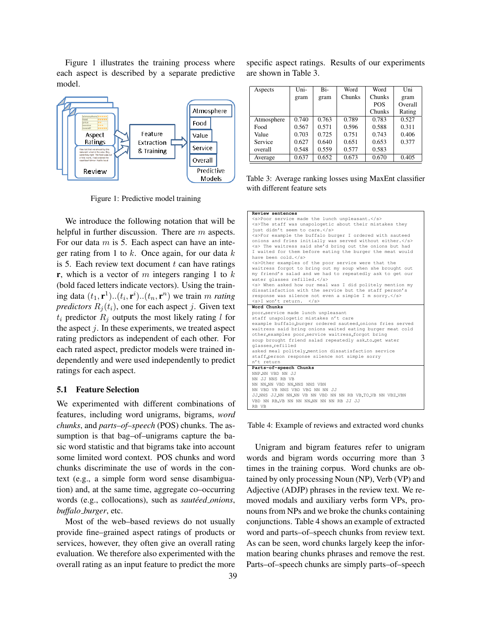Figure 1 illustrates the training process where each aspect is described by a separate predictive model.



Figure 1: Predictive model training

We introduce the following notation that will be helpful in further discussion. There are m aspects. For our data  $m$  is 5. Each aspect can have an integer rating from 1 to  $k$ . Once again, for our data  $k$ is 5. Each review text document  $t$  can have ratings **r**, which is a vector of m integers ranging 1 to  $k$ (bold faced letters indicate vectors). Using the training data  $(t_1, \mathbf{r}^1)$ .. $(t_i, \mathbf{r}^i)$ .. $(t_n, \mathbf{r}^n)$  we train m *rating predictors*  $R_i(t_i)$ , one for each aspect j. Given text  $t_i$  predictor  $R_i$  outputs the most likely rating l for the aspect  $j$ . In these experiments, we treated aspect rating predictors as independent of each other. For each rated aspect, predictor models were trained independently and were used independently to predict ratings for each aspect.

## 5.1 Feature Selection

We experimented with different combinations of features, including word unigrams, bigrams, *word chunks*, and *parts–of–speech* (POS) chunks. The assumption is that bag–of–unigrams capture the basic word statistic and that bigrams take into account some limited word context. POS chunks and word chunks discriminate the use of words in the context (e.g., a simple form word sense disambiguation) and, at the same time, aggregate co–occurring words (e.g., collocations), such as *sautéed\_onions*, *buffalo burger*, etc.

Most of the web–based reviews do not usually provide fine–grained aspect ratings of products or services, however, they often give an overall rating evaluation. We therefore also experimented with the overall rating as an input feature to predict the more

specific aspect ratings. Results of our experiments are shown in Table 3.

| Aspects    | Uni-  | Bi-   | Word   | Word       | Uni     |
|------------|-------|-------|--------|------------|---------|
|            | gram  | gram  | Chunks | Chunks     | gram    |
|            |       |       |        | <b>POS</b> | Overall |
|            |       |       |        | Chunks     | Rating  |
| Atmosphere | 0.740 | 0.763 | 0.789  | 0.783      | 0.527   |
| Food       | 0.567 | 0.571 | 0.596  | 0.588      | 0.311   |
| Value      | 0.703 | 0.725 | 0.751  | 0.743      | 0.406   |
| Service    | 0.627 | 0.640 | 0.651  | 0.653      | 0.377   |
| overall    | 0.548 | 0.559 | 0.577  | 0.583      |         |
| Average    | 0.637 | 0.652 | 0.673  | 0.670      | 0.405   |

Table 3: Average ranking losses using MaxEnt classifier with different feature sets

| Review sentences                                              |
|---------------------------------------------------------------|
| <s>Poor service made the lunch unpleasant.</s>                |
| <s>The staff was unapologetic about their mistakes they</s>   |
| just didn't seem to care.                                     |
| <s>For example the buffalo burger I ordered with sauteed</s>  |
| onions and fries initially was served without either.         |
| <s> The waitress said she'd bring out the onions but had</s>  |
| I waited for them before eating the burger the meat would     |
| have been cold.                                               |
| <s>Other examples of the poor service were that the</s>       |
| waitress forgot to bring out my soup when she brought out     |
| my friend's salad and we had to repeatedly ask to get our     |
| water glasses refilled.                                       |
| <s> When asked how our meal was I did politely mention my</s> |
| dissatisfaction with the service but the staff person's       |
| response was silence not even a simple I m sorry.             |
| <s>I won't return. </s>                                       |
| Word Chunks                                                   |
| poor_service made lunch unpleasant                            |
| staff unapologetic mistakes n't care                          |
| example buffalo_burger ordered sauteed_onions fries served    |
| waitress said bring onions waited eating burger meat cold     |
| other_examples poor_service waitress_forgot bring             |
| soup brought friend salad repeatedly ask_to_get water         |
| glasses_refilled                                              |
| asked meal politely_mention dissatisfaction service           |
| staff_person response silence not simple sorry                |
| n't return                                                    |
| Parts-of-speech Chunks                                        |
| NNP_NN VBD NN JJ                                              |
| NN JJ NNS RB VB                                               |
| NN NN_NN VBD NN_NNS NNS VBN                                   |
| NN VBD VB NNS VBD VBG NN NN JJ                                |
| JJ_NNS JJ_NN NN_NN VB NN VBD NN NN RB VB_TO_VB NN VBZ_VBN     |
| VBD NN RB_VB NN NN NN_NN NN NN RB JJ JJ                       |
| RB VB                                                         |

Table 4: Example of reviews and extracted word chunks

Unigram and bigram features refer to unigram words and bigram words occurring more than 3 times in the training corpus. Word chunks are obtained by only processing Noun (NP), Verb (VP) and Adjective (ADJP) phrases in the review text. We removed modals and auxiliary verbs form VPs, pronouns from NPs and we broke the chunks containing conjunctions. Table 4 shows an example of extracted word and parts–of–speech chunks from review text. As can be seen, word chunks largely keep the information bearing chunks phrases and remove the rest. Parts–of–speech chunks are simply parts–of–speech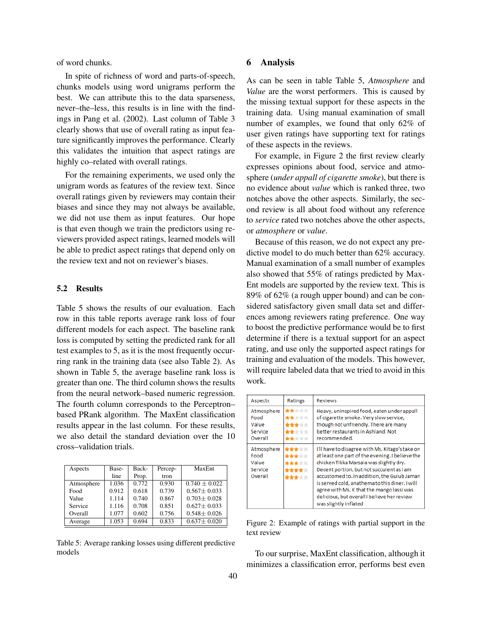of word chunks.

In spite of richness of word and parts-of-speech, chunks models using word unigrams perform the best. We can attribute this to the data sparseness, never–the–less, this results is in line with the findings in Pang et al. (2002). Last column of Table 3 clearly shows that use of overall rating as input feature significantly improves the performance. Clearly this validates the intuition that aspect ratings are highly co–related with overall ratings.

For the remaining experiments, we used only the unigram words as features of the review text. Since overall ratings given by reviewers may contain their biases and since they may not always be available, we did not use them as input features. Our hope is that even though we train the predictors using reviewers provided aspect ratings, learned models will be able to predict aspect ratings that depend only on the review text and not on reviewer's biases.

#### 5.2 Results

Table 5 shows the results of our evaluation. Each row in this table reports average rank loss of four different models for each aspect. The baseline rank loss is computed by setting the predicted rank for all test examples to 5, as it is the most frequently occurring rank in the training data (see also Table 2). As shown in Table 5, the average baseline rank loss is greater than one. The third column shows the results from the neural network–based numeric regression. The fourth column corresponds to the Perceptron– based PRank algorithm. The MaxEnt classification results appear in the last column. For these results, we also detail the standard deviation over the 10 cross–validation trials.

| Aspects    | Base- | Back- | Percep- | MaxEnt            |
|------------|-------|-------|---------|-------------------|
|            | line  | Prop. | tron    |                   |
| Atmosphere | 1.036 | 0.772 | 0.930   | $0.740 + 0.022$   |
| Food       | 0.912 | 0.618 | 0.739   | $0.567 + 0.033$   |
| Value      | 1.114 | 0.740 | 0.867   | $0.703 + 0.028$   |
| Service    | 1.116 | 0.708 | 0.851   | $0.627 + 0.033$   |
| Overall    | 1.077 | 0.602 | 0.756   | $0.548 \pm 0.026$ |
| Average    | 1.053 | 0.694 | 0.833   | $0.637 + 0.020$   |

Table 5: Average ranking losses using different predictive models

## 6 Analysis

As can be seen in table Table 5, *Atmosphere* and *Value* are the worst performers. This is caused by the missing textual support for these aspects in the training data. Using manual examination of small number of examples, we found that only 62% of user given ratings have supporting text for ratings of these aspects in the reviews.

For example, in Figure 2 the first review clearly expresses opinions about food, service and atmosphere (*under appall of cigarette smoke*), but there is no evidence about *value* which is ranked three, two notches above the other aspects. Similarly, the second review is all about food without any reference to *service* rated two notches above the other aspects, or *atmosphere* or *value*.

Because of this reason, we do not expect any predictive model to do much better than 62% accuracy. Manual examination of a small number of examples also showed that 55% of ratings predicted by Max-Ent models are supported by the review text. This is 89% of 62% (a rough upper bound) and can be considered satisfactory given small data set and differences among reviewers rating preference. One way to boost the predictive performance would be to first determine if there is a textual support for an aspect rating, and use only the supported aspect ratings for training and evaluation of the models. This however, will require labeled data that we tried to avoid in this work.

| Aspects                                           | Ratings                                                               | <b>Reviews</b>                                                                                                                                                                                                                                                                                                                                                                                                   |
|---------------------------------------------------|-----------------------------------------------------------------------|------------------------------------------------------------------------------------------------------------------------------------------------------------------------------------------------------------------------------------------------------------------------------------------------------------------------------------------------------------------------------------------------------------------|
| Atmosphere<br>Food<br>Value<br>Service<br>Overall | <b>Inde</b> rderderde<br>***<br><del>ka</del> n de ste<br>★☆☆☆<br>食食食 | Heavy, uninspired food, eaten under appall<br>of cigarette smoke. Very slow service,<br>though not unfriendly. There are many<br>better restaurants in Ashland. Not<br>recommended.                                                                                                                                                                                                                              |
| Atmosphere<br>Food<br>Value<br>Service<br>Overall | <b><i><u>Production</u></i></b><br>****                               | I'll have to disagree with Ms. Kitago's take on<br>at least one part of the evening. I believe the<br>chicken Tikka Marsala was slightly dry.<br>Decent portion, but not succulent as i am<br>accustomed to. In addition, the Gulub Jaman<br>is served cold, anathema to this diner, I will<br>agree with Ms. K that the mango lassi was<br>delicious, but overall I believe her review<br>was slightly inflated |

Figure 2: Example of ratings with partial support in the text review

To our surprise, MaxEnt classification, although it minimizes a classification error, performs best even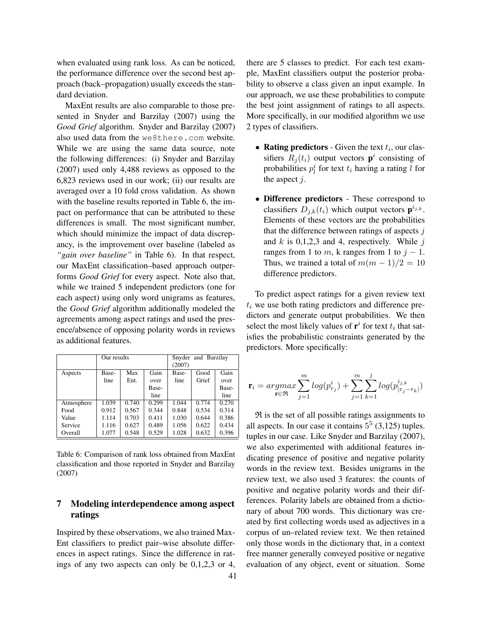when evaluated using rank loss. As can be noticed, the performance difference over the second best approach (back–propagation) usually exceeds the standard deviation.

MaxEnt results are also comparable to those presented in Snyder and Barzilay (2007) using the *Good Grief* algorithm. Snyder and Barzilay (2007) also used data from the we8there.com website. While we are using the same data source, note the following differences: (i) Snyder and Barzilay (2007) used only 4,488 reviews as opposed to the 6,823 reviews used in our work; (ii) our results are averaged over a 10 fold cross validation. As shown with the baseline results reported in Table 6, the impact on performance that can be attributed to these differences is small. The most significant number, which should minimize the impact of data discrepancy, is the improvement over baseline (labeled as *"gain over baseline"* in Table 6). In that respect, our MaxEnt classification–based approach outperforms *Good Grief* for every aspect. Note also that, while we trained 5 independent predictors (one for each aspect) using only word unigrams as features, the *Good Grief* algorithm additionally modeled the agreements among aspect ratings and used the presence/absence of opposing polarity words in reviews as additional features.

|            | Our results |       |       |        | Snyder and Barzilay |       |
|------------|-------------|-------|-------|--------|---------------------|-------|
|            |             |       |       | (2007) |                     |       |
| Aspects    | Base-       | Max   | Gain  | Base-  | Good                | Gain  |
|            | line        | Ent.  | over  | line   | Grief               | over  |
|            |             |       | Base- |        |                     | Base- |
|            |             |       | line  |        |                     | line  |
| Atmosphere | 1.039       | 0.740 | 0.299 | 1.044  | 0.774               | 0.270 |
| Food       | 0.912       | 0.567 | 0.344 | 0.848  | 0.534               | 0.314 |
| Value      | 1.114       | 0.703 | 0.411 | 1.030  | 0.644               | 0.386 |
| Service    | 1.116       | 0.627 | 0.489 | 1.056  | 0.622               | 0.434 |
| Overall    | 1.077       | 0.548 | 0.529 | 1.028  | 0.632               | 0.396 |

Table 6: Comparison of rank loss obtained from MaxEnt classification and those reported in Snyder and Barzilay (2007)

## 7 Modeling interdependence among aspect ratings

Inspired by these observations, we also trained Max-Ent classifiers to predict pair–wise absolute differences in aspect ratings. Since the difference in ratings of any two aspects can only be 0,1,2,3 or 4, there are 5 classes to predict. For each test example, MaxEnt classifiers output the posterior probability to observe a class given an input example. In our approach, we use these probabilities to compute the best joint assignment of ratings to all aspects. More specifically, in our modified algorithm we use 2 types of classifiers.

- Rating predictors Given the text  $t_i$ , our classifiers  $R_j(t_i)$  output vectors  $\mathbf{p}^i$  consisting of probabilities  $p_l^i$  for text  $t_i$  having a rating l for the aspect  $j$ .
- Difference predictors These correspond to classifiers  $D_{j,k}(t_i)$  which output vectors  $\mathbf{p}^{i_{j,k}}$ . Elements of these vectors are the probabilities that the difference between ratings of aspects  $j$ and  $k$  is 0,1,2,3 and 4, respectively. While j ranges from 1 to m, k ranges from 1 to  $j - 1$ . Thus, we trained a total of  $m(m - 1)/2 = 10$ difference predictors.

To predict aspect ratings for a given review text  $t_i$  we use both rating predictors and difference predictors and generate output probabilities. We then select the most likely values of  $\mathbf{r}^i$  for text  $t_i$  that satisfies the probabilistic constraints generated by the predictors. More specifically:

$$
\mathbf{r}_i = \underset{\mathbf{r} \in \mathfrak{R}}{argmax} \sum_{j=1}^{m} log(p_{r_j}^i) + \sum_{j=1}^{m} \sum_{k=1}^{j} log(p_{|r_j - r_k|}^{i_{j,k}})
$$

 $Re$  is the set of all possible ratings assignments to all aspects. In our case it contains  $5^5$  (3,125) tuples. tuples in our case. Like Snyder and Barzilay (2007), we also experimented with additional features indicating presence of positive and negative polarity words in the review text. Besides unigrams in the review text, we also used 3 features: the counts of positive and negative polarity words and their differences. Polarity labels are obtained from a dictionary of about 700 words. This dictionary was created by first collecting words used as adjectives in a corpus of un–related review text. We then retained only those words in the dictionary that, in a context free manner generally conveyed positive or negative evaluation of any object, event or situation. Some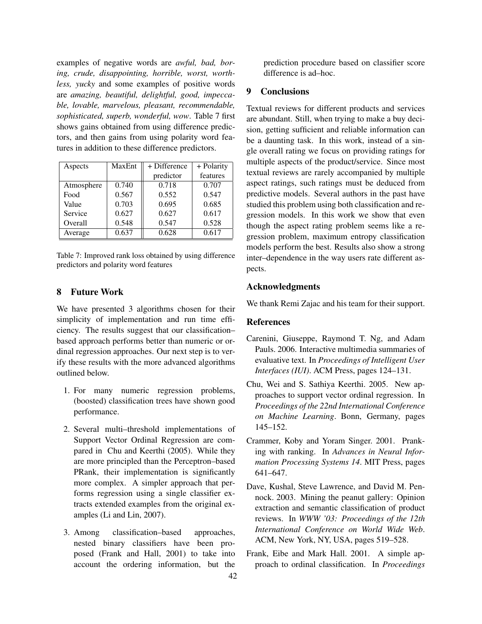examples of negative words are *awful, bad, boring, crude, disappointing, horrible, worst, worthless, yucky* and some examples of positive words are *amazing, beautiful, delightful, good, impeccable, lovable, marvelous, pleasant, recommendable, sophisticated, superb, wonderful, wow*. Table 7 first shows gains obtained from using difference predictors, and then gains from using polarity word features in addition to these difference predictors.

| Aspects    | MaxEnt | + Difference | + Polarity |  |
|------------|--------|--------------|------------|--|
|            |        | predictor    | features   |  |
| Atmosphere | 0.740  | 0.718        | 0.707      |  |
| Food       | 0.567  | 0.552        | 0.547      |  |
| Value      | 0.703  | 0.695        | 0.685      |  |
| Service    | 0.627  | 0.627        | 0.617      |  |
| Overall    | 0.548  | 0.547        | 0.528      |  |
| Average    | 0.637  | 0.628        | 0.617      |  |

Table 7: Improved rank loss obtained by using difference predictors and polarity word features

## 8 Future Work

We have presented 3 algorithms chosen for their simplicity of implementation and run time efficiency. The results suggest that our classification– based approach performs better than numeric or ordinal regression approaches. Our next step is to verify these results with the more advanced algorithms outlined below.

- 1. For many numeric regression problems, (boosted) classification trees have shown good performance.
- 2. Several multi–threshold implementations of Support Vector Ordinal Regression are compared in Chu and Keerthi (2005). While they are more principled than the Perceptron–based PRank, their implementation is significantly more complex. A simpler approach that performs regression using a single classifier extracts extended examples from the original examples (Li and Lin, 2007).
- 3. Among classification–based approaches, nested binary classifiers have been proposed (Frank and Hall, 2001) to take into account the ordering information, but the

prediction procedure based on classifier score difference is ad–hoc.

## 9 Conclusions

Textual reviews for different products and services are abundant. Still, when trying to make a buy decision, getting sufficient and reliable information can be a daunting task. In this work, instead of a single overall rating we focus on providing ratings for multiple aspects of the product/service. Since most textual reviews are rarely accompanied by multiple aspect ratings, such ratings must be deduced from predictive models. Several authors in the past have studied this problem using both classification and regression models. In this work we show that even though the aspect rating problem seems like a regression problem, maximum entropy classification models perform the best. Results also show a strong inter–dependence in the way users rate different aspects.

## Acknowledgments

We thank Remi Zajac and his team for their support.

#### References

- Carenini, Giuseppe, Raymond T. Ng, and Adam Pauls. 2006. Interactive multimedia summaries of evaluative text. In *Proceedings of Intelligent User Interfaces (IUI)*. ACM Press, pages 124–131.
- Chu, Wei and S. Sathiya Keerthi. 2005. New approaches to support vector ordinal regression. In *Proceedings of the 22nd International Conference on Machine Learning*. Bonn, Germany, pages 145–152.
- Crammer, Koby and Yoram Singer. 2001. Pranking with ranking. In *Advances in Neural Information Processing Systems 14*. MIT Press, pages 641–647.
- Dave, Kushal, Steve Lawrence, and David M. Pennock. 2003. Mining the peanut gallery: Opinion extraction and semantic classification of product reviews. In *WWW '03: Proceedings of the 12th International Conference on World Wide Web*. ACM, New York, NY, USA, pages 519–528.
- Frank, Eibe and Mark Hall. 2001. A simple approach to ordinal classification. In *Proceedings*

42